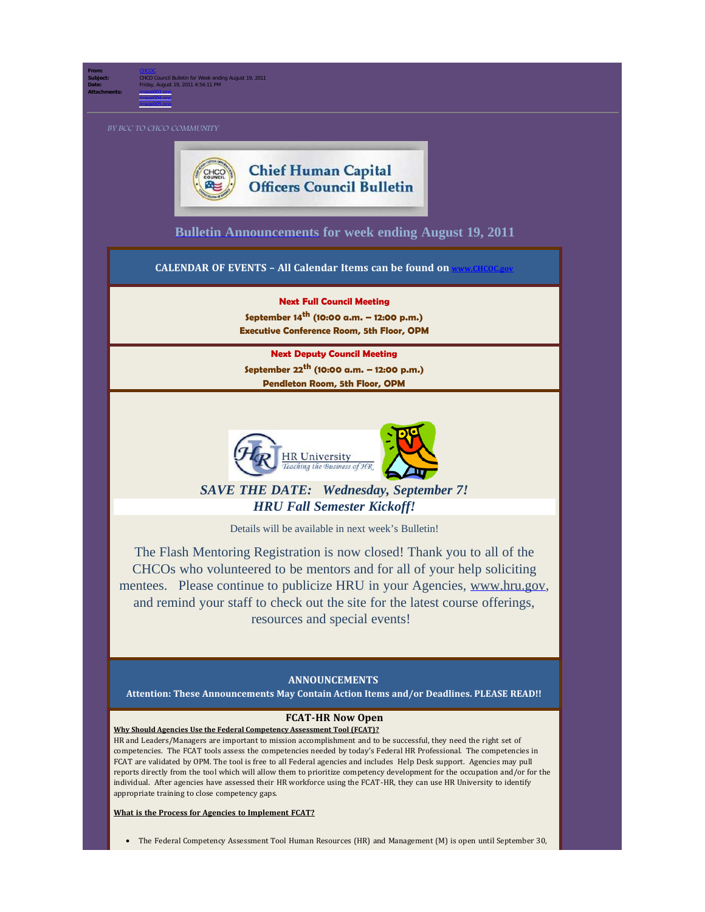**From:** [CHCOC](mailto:/O=OPM/OU=EXCHANGE ADMINISTRATIVE GROUP (FYDIBOHF23SPDLT)/CN=RECIPIENTS/CN=CHCOC) **Subject:** CHCO Council Bulletin for Week ending August 19, 2011 **Date:** Friday, August 19, 2011 4:54:11 PM **Attachments:** image003.png image004.png

image005.png



**[Bulletin Announcements](http://chcoc.gov/Transmittals/Index.aspx) for week ending August 19, 2011** 

**CALENDAR OF EVENTS - All Calendar Items can be found on** 

**Next Full Council Meeting September 14th (10:00 a.m. – 12:00 p.m.)**

**Executive Conference Room, 5th Floor, OPM**

**Next Deputy Council Meeting**

**September 22th (10:00 a.m. – 12:00 p.m.) Pendleton Room, 5th Floor, OPM**



*SAVE THE DATE: Wednesday, September 7! HRU Fall Semester Kickoff!*

Details will be available in next week's Bulletin!

The Flash Mentoring Registration is now closed! Thank you to all of the CHCOs who volunteered to be mentors and for all of your help soliciting mentees. Please continue to publicize HRU in your Agencies, [www.hru.gov](http://www.hru.gov/), and remind your staff to check out the site for the latest course offerings, resources and special events!

## **ANNOUNCEMENTS**

**Attention: These Announcements May Contain Action Items and/or Deadlines. PLEASE READ!!**

## **FCAT-HR Now Open**

**Why Should Agencies Use the Federal Competency Assessment Tool (FCAT)?** 

HR and Leaders/Managers are important to mission accomplishment and to be successful, they need the right set of competencies. The FCAT tools assess the competencies needed by today's Federal HR Professional. The competencies in FCAT are validated by OPM. The tool is free to all Federal agencies and includes Help Desk support. Agencies may pull reports directly from the tool which will allow them to prioritize competency development for the occupation and/or for the individual. After agencies have assessed their HR workforce using the FCAT-HR, they can use HR University to identify appropriate training to close competency gaps.

**What is the Process for Agencies to Implement FCAT?**

· The Federal Competency Assessment Tool Human Resources (HR) and Management (M) is open until September 30,